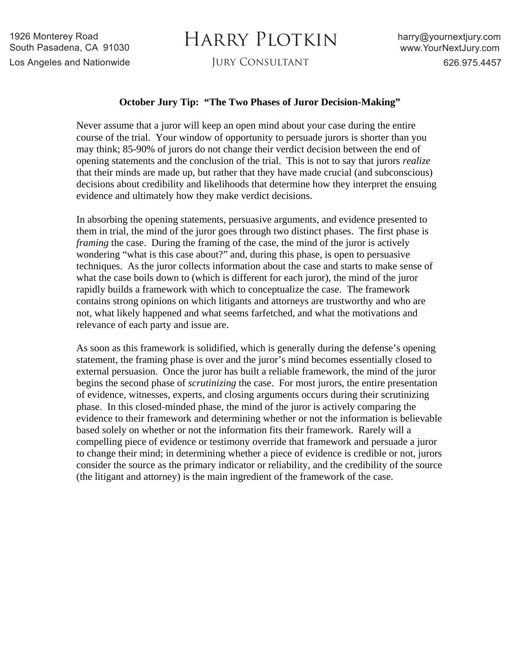## HARRY PLOTKIN

## **October Jury Tip: "The Two Phases of Juror Decision-Making"**

Never assume that a juror will keep an open mind about your case during the entire course of the trial. Your window of opportunity to persuade jurors is shorter than you may think; 85-90% of jurors do not change their verdict decision between the end of opening statements and the conclusion of the trial. This is not to say that jurors *realize* that their minds are made up, but rather that they have made crucial (and subconscious) decisions about credibility and likelihoods that determine how they interpret the ensuing evidence and ultimately how they make verdict decisions.

In absorbing the opening statements, persuasive arguments, and evidence presented to them in trial, the mind of the juror goes through two distinct phases. The first phase is *framing* the case. During the framing of the case, the mind of the juror is actively wondering "what is this case about?" and, during this phase, is open to persuasive techniques. As the juror collects information about the case and starts to make sense of what the case boils down to (which is different for each juror), the mind of the juror rapidly builds a framework with which to conceptualize the case. The framework contains strong opinions on which litigants and attorneys are trustworthy and who are not, what likely happened and what seems farfetched, and what the motivations and relevance of each party and issue are.

As soon as this framework is solidified, which is generally during the defense's opening statement, the framing phase is over and the juror's mind becomes essentially closed to external persuasion. Once the juror has built a reliable framework, the mind of the juror begins the second phase of *scrutinizing* the case. For most jurors, the entire presentation of evidence, witnesses, experts, and closing arguments occurs during their scrutinizing phase. In this closed-minded phase, the mind of the juror is actively comparing the evidence to their framework and determining whether or not the information is believable based solely on whether or not the information fits their framework. Rarely will a compelling piece of evidence or testimony override that framework and persuade a juror to change their mind; in determining whether a piece of evidence is credible or not, jurors consider the source as the primary indicator or reliability, and the credibility of the source (the litigant and attorney) is the main ingredient of the framework of the case.